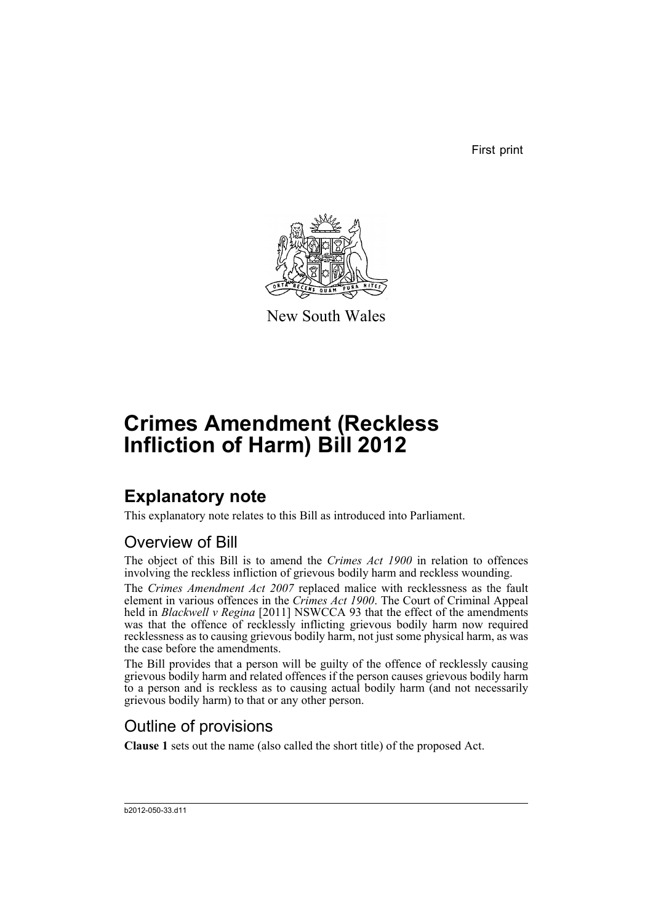First print



New South Wales

# **Crimes Amendment (Reckless Infliction of Harm) Bill 2012**

## **Explanatory note**

This explanatory note relates to this Bill as introduced into Parliament.

### Overview of Bill

The object of this Bill is to amend the *Crimes Act 1900* in relation to offences involving the reckless infliction of grievous bodily harm and reckless wounding.

The *Crimes Amendment Act 2007* replaced malice with recklessness as the fault element in various offences in the *Crimes Act 1900*. The Court of Criminal Appeal held in *Blackwell v Regina* [2011] NSWCCA 93 that the effect of the amendments was that the offence of recklessly inflicting grievous bodily harm now required recklessness as to causing grievous bodily harm, not just some physical harm, as was the case before the amendments.

The Bill provides that a person will be guilty of the offence of recklessly causing grievous bodily harm and related offences if the person causes grievous bodily harm to a person and is reckless as to causing actual bodily harm (and not necessarily grievous bodily harm) to that or any other person.

### Outline of provisions

**Clause 1** sets out the name (also called the short title) of the proposed Act.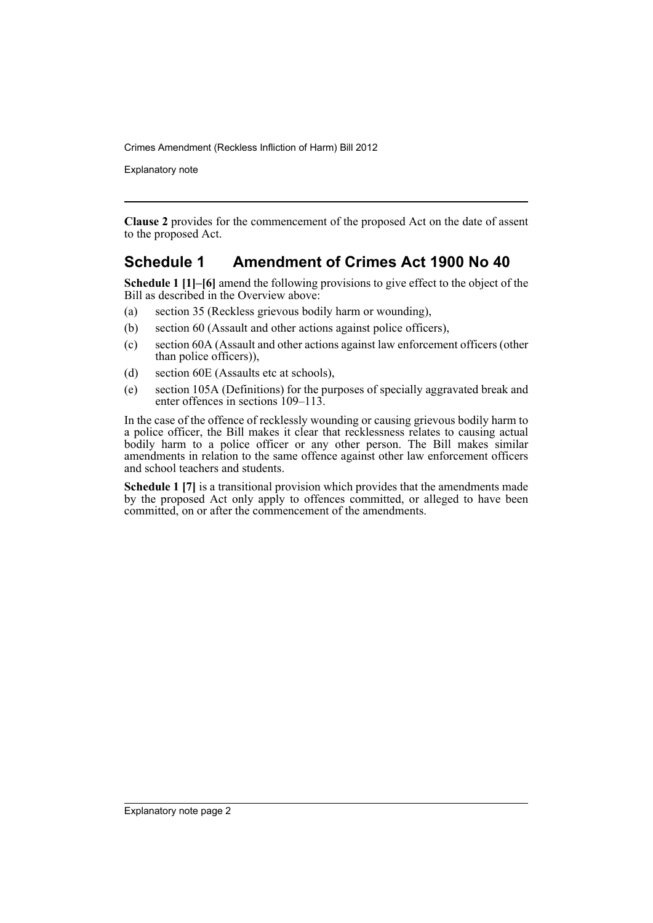Explanatory note

**Clause 2** provides for the commencement of the proposed Act on the date of assent to the proposed Act.

#### **Schedule 1 Amendment of Crimes Act 1900 No 40**

**Schedule 1 [1]–[6]** amend the following provisions to give effect to the object of the Bill as described in the Overview above:

- (a) section 35 (Reckless grievous bodily harm or wounding),
- (b) section 60 (Assault and other actions against police officers),
- (c) section 60A (Assault and other actions against law enforcement officers (other than police officers)),
- (d) section 60E (Assaults etc at schools),
- (e) section 105A (Definitions) for the purposes of specially aggravated break and enter offences in sections 109–113.

In the case of the offence of recklessly wounding or causing grievous bodily harm to a police officer, the Bill makes it clear that recklessness relates to causing actual bodily harm to a police officer or any other person. The Bill makes similar amendments in relation to the same offence against other law enforcement officers and school teachers and students.

**Schedule 1 [7]** is a transitional provision which provides that the amendments made by the proposed Act only apply to offences committed, or alleged to have been committed, on or after the commencement of the amendments.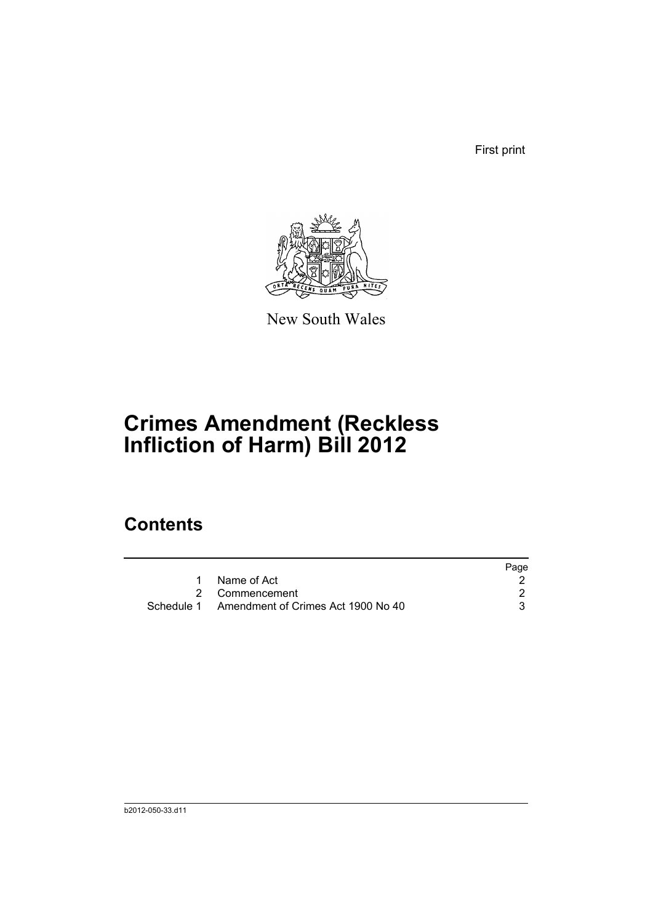First print



New South Wales

# **Crimes Amendment (Reckless Infliction of Harm) Bill 2012**

### **Contents**

|                                               | Page |
|-----------------------------------------------|------|
| 1 Name of Act                                 |      |
| 2 Commencement                                |      |
| Schedule 1 Amendment of Crimes Act 1900 No 40 |      |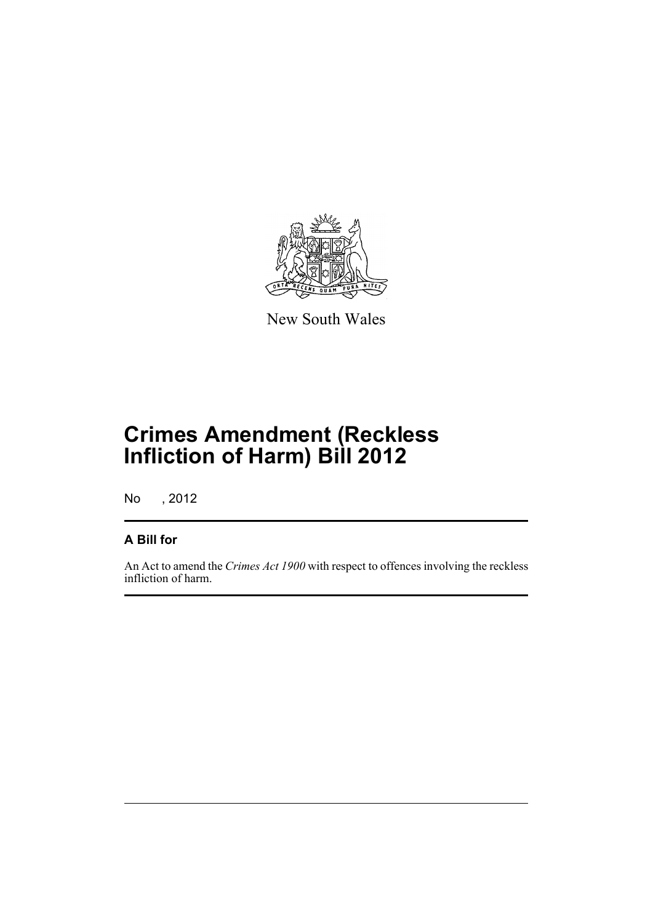

New South Wales

# **Crimes Amendment (Reckless Infliction of Harm) Bill 2012**

No , 2012

#### **A Bill for**

An Act to amend the *Crimes Act 1900* with respect to offences involving the reckless infliction of harm.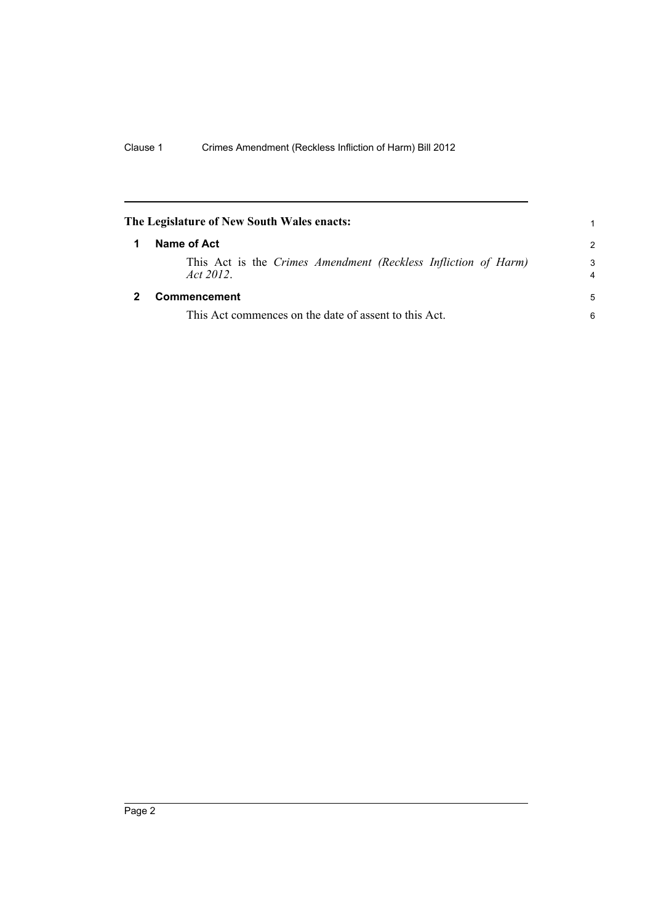<span id="page-5-1"></span><span id="page-5-0"></span>

| The Legislature of New South Wales enacts:                                  |                     |
|-----------------------------------------------------------------------------|---------------------|
| Name of Act                                                                 | $\mathcal{P}$       |
| This Act is the Crimes Amendment (Reckless Infliction of Harm)<br>Act 2012. | 3<br>$\overline{4}$ |
| Commencement                                                                | 5                   |
| This Act commences on the date of assent to this Act.                       | 6                   |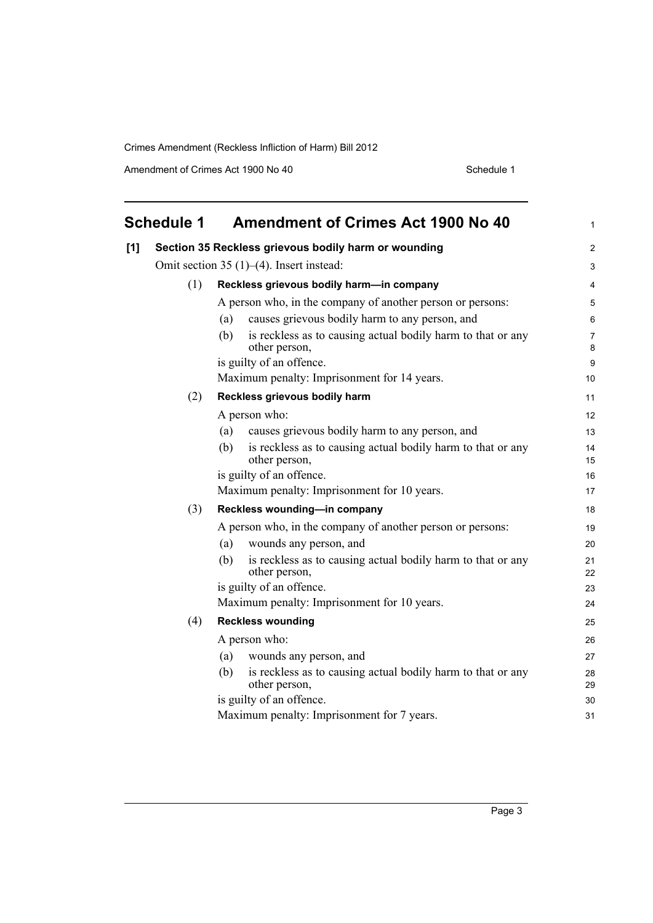Amendment of Crimes Act 1900 No 40 Schedule 1

<span id="page-6-0"></span>

| <b>Schedule 1</b> |     | <b>Amendment of Crimes Act 1900 No 40</b>                                           |                     |
|-------------------|-----|-------------------------------------------------------------------------------------|---------------------|
| [1]               |     | Section 35 Reckless grievous bodily harm or wounding                                | $\overline{c}$      |
|                   |     | Omit section 35 $(1)$ – $(4)$ . Insert instead:                                     | 3                   |
|                   | (1) | Reckless grievous bodily harm-in company                                            | 4                   |
|                   |     | A person who, in the company of another person or persons:                          | 5                   |
|                   |     | causes grievous bodily harm to any person, and<br>(a)                               | 6                   |
|                   |     | is reckless as to causing actual bodily harm to that or any<br>(b)<br>other person, | $\overline{7}$<br>8 |
|                   |     | is guilty of an offence.                                                            | 9                   |
|                   |     | Maximum penalty: Imprisonment for 14 years.                                         | 10                  |
|                   | (2) | Reckless grievous bodily harm                                                       | 11                  |
|                   |     | A person who:                                                                       | 12                  |
|                   |     | causes grievous bodily harm to any person, and<br>(a)                               | 13                  |
|                   |     | is reckless as to causing actual bodily harm to that or any<br>(b)<br>other person, | 14<br>15            |
|                   |     | is guilty of an offence.                                                            | 16                  |
|                   |     | Maximum penalty: Imprisonment for 10 years.                                         | 17                  |
|                   | (3) | Reckless wounding-in company                                                        | 18                  |
|                   |     | A person who, in the company of another person or persons:                          | 19                  |
|                   |     | wounds any person, and<br>(a)                                                       | 20                  |
|                   |     | is reckless as to causing actual bodily harm to that or any<br>(b)<br>other person, | 21<br>22            |
|                   |     | is guilty of an offence.                                                            | 23                  |
|                   |     | Maximum penalty: Imprisonment for 10 years.                                         | 24                  |
|                   | (4) | <b>Reckless wounding</b>                                                            | 25                  |
|                   |     | A person who:                                                                       | 26                  |
|                   |     | wounds any person, and<br>(a)                                                       | 27                  |
|                   |     | is reckless as to causing actual bodily harm to that or any<br>(b)<br>other person, | 28<br>29            |
|                   |     | is guilty of an offence.                                                            | 30                  |
|                   |     | Maximum penalty: Imprisonment for 7 years.                                          | 31                  |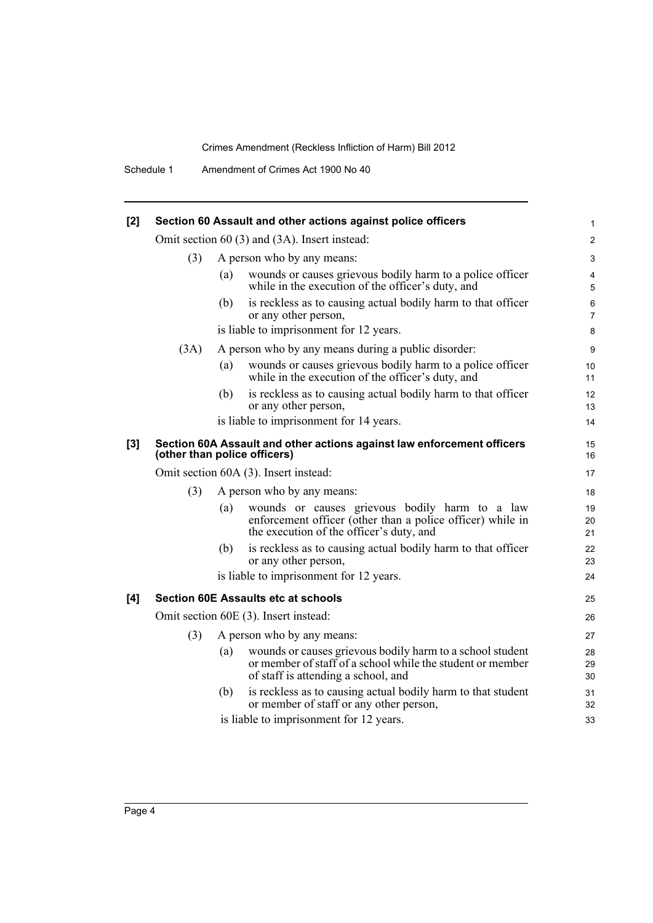Schedule 1 Amendment of Crimes Act 1900 No 40

| [2]   |                                               |                            | Section 60 Assault and other actions against police officers                                                                                                   | 1                       |
|-------|-----------------------------------------------|----------------------------|----------------------------------------------------------------------------------------------------------------------------------------------------------------|-------------------------|
|       | Omit section 60 (3) and (3A). Insert instead: |                            |                                                                                                                                                                | $\overline{2}$          |
|       | (3)                                           | A person who by any means: |                                                                                                                                                                | 3                       |
|       |                                               | (a)                        | wounds or causes grievous bodily harm to a police officer<br>while in the execution of the officer's duty, and                                                 | 4<br>5                  |
|       |                                               | (b)                        | is reckless as to causing actual bodily harm to that officer<br>or any other person,                                                                           | $\,6$<br>$\overline{7}$ |
|       |                                               |                            | is liable to imprisonment for 12 years.                                                                                                                        | 8                       |
|       | (3A)                                          |                            | A person who by any means during a public disorder:                                                                                                            | $\boldsymbol{9}$        |
|       |                                               | (a)                        | wounds or causes grievous bodily harm to a police officer<br>while in the execution of the officer's duty, and                                                 | 10<br>11                |
|       |                                               | (b)                        | is reckless as to causing actual bodily harm to that officer<br>or any other person,                                                                           | 12<br>13                |
|       |                                               |                            | is liable to imprisonment for 14 years.                                                                                                                        | 14                      |
| $[3]$ | (other than police officers)                  |                            | Section 60A Assault and other actions against law enforcement officers                                                                                         | 15<br>16                |
|       | Omit section 60A (3). Insert instead:         |                            |                                                                                                                                                                | 17                      |
|       | (3)                                           |                            | A person who by any means:                                                                                                                                     | 18                      |
|       |                                               | (a)                        | wounds or causes grievous bodily harm to a law<br>enforcement officer (other than a police officer) while in<br>the execution of the officer's duty, and       | 19<br>20<br>21          |
|       |                                               | (b)                        | is reckless as to causing actual bodily harm to that officer<br>or any other person,                                                                           | 22<br>23                |
|       |                                               |                            | is liable to imprisonment for 12 years.                                                                                                                        | 24                      |
| [4]   |                                               |                            | <b>Section 60E Assaults etc at schools</b>                                                                                                                     | 25                      |
|       |                                               |                            | Omit section 60E (3). Insert instead:                                                                                                                          | 26                      |
|       | (3)                                           |                            | A person who by any means:                                                                                                                                     | 27                      |
|       |                                               | (a)                        | wounds or causes grievous bodily harm to a school student<br>or member of staff of a school while the student or member<br>of staff is attending a school, and | 28<br>29<br>30          |
|       |                                               | (b)                        | is reckless as to causing actual bodily harm to that student<br>or member of staff or any other person,                                                        | 31<br>32                |
|       |                                               |                            | is liable to imprisonment for 12 years.                                                                                                                        | 33                      |